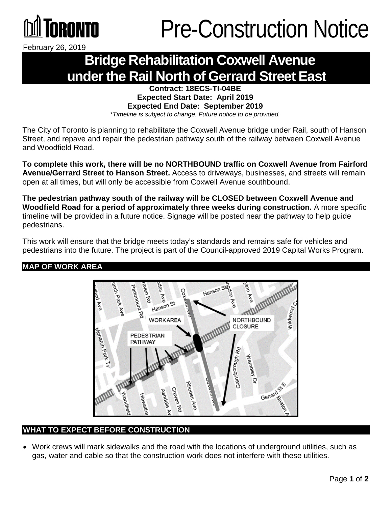

February 26, 2019

### **Bridge Rehabilitation Coxwell Avenue under the Rail North of Gerrard Street East**

#### **Contract: 18ECS-TI-04BE Expected Start Date: April 2019 Expected End Date: September 2019**

*\*Timeline is subject to change. Future notice to be provided.*

The City of Toronto is planning to rehabilitate the Coxwell Avenue bridge under Rail, south of Hanson Street, and repave and repair the pedestrian pathway south of the railway between Coxwell Avenue and Woodfield Road.

**To complete this work, there will be no NORTHBOUND traffic on Coxwell Avenue from Fairford Avenue/Gerrard Street to Hanson Street.** Access to driveways, businesses, and streets will remain open at all times, but will only be accessible from Coxwell Avenue southbound.

**The pedestrian pathway south of the railway will be CLOSED between Coxwell Avenue and Woodfield Road for a period of approximately three weeks during construction.** A more specific timeline will be provided in a future notice. Signage will be posted near the pathway to help guide pedestrians.

This work will ensure that the bridge meets today's standards and remains safe for vehicles and pedestrians into the future. The project is part of the Council-approved 2019 Capital Works Program.

### **MAP OF WORK AREA**



### **WHAT TO EXPECT BEFORE CONSTRUCTION**

• Work crews will mark sidewalks and the road with the locations of underground utilities, such as gas, water and cable so that the construction work does not interfere with these utilities.